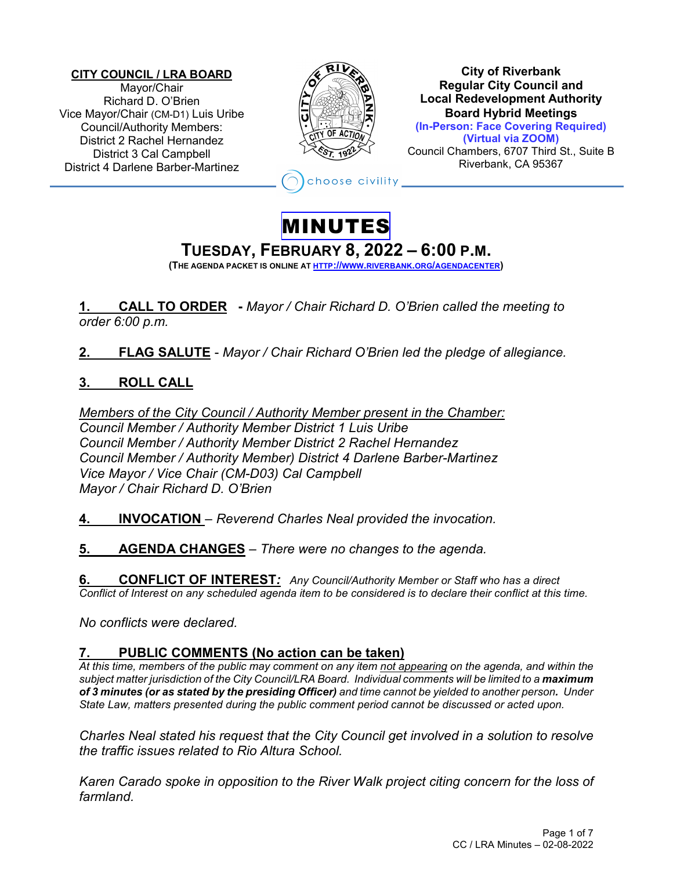#### **CITY COUNCIL / LRA BOARD** Mayor/Chair Richard D. O'Brien Vice Mayor/Chair (CM-D1) Luis Uribe Council/Authority Members: District 2 Rachel Hernandez District 3 Cal Campbell District 4 Darlene Barber-Martinez



**City of Riverbank Regular City Council and Local Redevelopment Authority Board Hybrid Meetings (In-Person: Face Covering Required) (Virtual via ZOOM)**

Council Chambers, 6707 Third St., Suite B Riverbank, CA 95367

hoose civility

## MINUTES

# **TUESDAY, FEBRUARY 8, <sup>2022</sup> – 6:00 P.M. (THE AGENDA PACKET IS ONLINE AT HTTP://WWW.RIVERBANK.ORG/AGENDACENTER)**

**1. CALL TO ORDER -** *Mayor / Chair Richard D. O'Brien called the meeting to order 6:00 p.m.*

**2. FLAG SALUTE** - *Mayor / Chair Richard O'Brien led the pledge of allegiance.*

### **3. ROLL CALL**

*Members of the City Council / Authority Member present in the Chamber: Council Member / Authority Member District 1 Luis Uribe Council Member / Authority Member District 2 Rachel Hernandez Council Member / Authority Member) District 4 Darlene Barber-Martinez Vice Mayor / Vice Chair (CM-D03) Cal Campbell Mayor / Chair Richard D. O'Brien*

**4. INVOCATION** – *Reverend Charles Neal provided the invocation.*

**5. AGENDA CHANGES** *– There were no changes to the agenda.* 

**6. CONFLICT OF INTEREST***: Any Council/Authority Member or Staff who has a direct Conflict of Interest on any scheduled agenda item to be considered is to declare their conflict at this time.*

*No conflicts were declared.*

### **7. PUBLIC COMMENTS (No action can be taken)**

*At this time, members of the public may comment on any item not appearing on the agenda, and within the subject matter jurisdiction of the City Council/LRA Board. Individual comments will be limited to a maximum of 3 minutes (or as stated by the presiding Officer) and time cannot be yielded to another person. Under State Law, matters presented during the public comment period cannot be discussed or acted upon.* 

*Charles Neal stated his request that the City Council get involved in a solution to resolve the traffic issues related to Rio Altura School.* 

*Karen Carado spoke in opposition to the River Walk project citing concern for the loss of farmland.*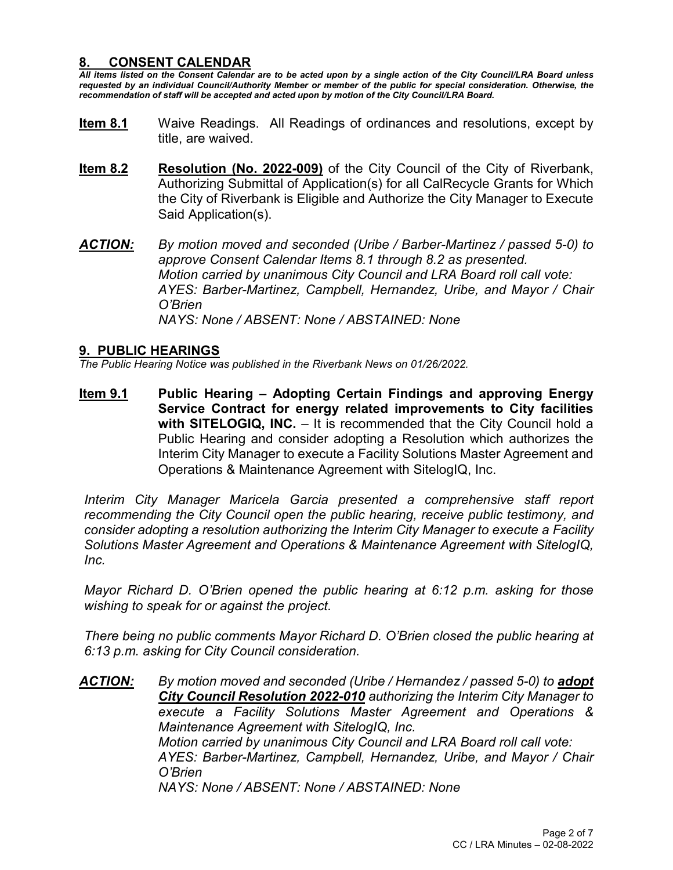#### **8. CONSENT CALENDAR**

*All items listed on the Consent Calendar are to be acted upon by a single action of the City Council/LRA Board unless requested by an individual Council/Authority Member or member of the public for special consideration. Otherwise, the recommendation of staff will be accepted and acted upon by motion of the City Council/LRA Board.* 

- **Item 8.1** Waive Readings. All Readings of ordinances and resolutions, except by title, are waived.
- **Item 8.2 Resolution (No. 2022-009)** of the City Council of the City of Riverbank, Authorizing Submittal of Application(s) for all CalRecycle Grants for Which the City of Riverbank is Eligible and Authorize the City Manager to Execute Said Application(s).
- *ACTION: By motion moved and seconded (Uribe / Barber-Martinez / passed 5-0) to approve Consent Calendar Items 8.1 through 8.2 as presented. Motion carried by unanimous City Council and LRA Board roll call vote: AYES: Barber-Martinez, Campbell, Hernandez, Uribe, and Mayor / Chair O'Brien NAYS: None / ABSENT: None / ABSTAINED: None*

#### **9. PUBLIC HEARINGS**

*The Public Hearing Notice was published in the Riverbank News on 01/26/2022.* 

**Item 9.1 Public Hearing – Adopting Certain Findings and approving Energy Service Contract for energy related improvements to City facilities with SITELOGIQ, INC.** – It is recommended that the City Council hold a Public Hearing and consider adopting a Resolution which authorizes the Interim City Manager to execute a Facility Solutions Master Agreement and Operations & Maintenance Agreement with SitelogIQ, Inc.

*Interim City Manager Maricela Garcia presented a comprehensive staff report recommending the City Council open the public hearing, receive public testimony, and consider adopting a resolution authorizing the Interim City Manager to execute a Facility Solutions Master Agreement and Operations & Maintenance Agreement with SitelogIQ, Inc.* 

*Mayor Richard D. O'Brien opened the public hearing at 6:12 p.m. asking for those wishing to speak for or against the project.*

*There being no public comments Mayor Richard D. O'Brien closed the public hearing at 6:13 p.m. asking for City Council consideration.*

ACTION: *By motion moved and seconded (Uribe / Hernandez / passed 5-0) to adopt City Council Resolution 2022-010 authorizing the Interim City Manager to execute a Facility Solutions Master Agreement and Operations & Maintenance Agreement with SitelogIQ, Inc. Motion carried by unanimous City Council and LRA Board roll call vote: AYES: Barber-Martinez, Campbell, Hernandez, Uribe, and Mayor / Chair O'Brien NAYS: None / ABSENT: None / ABSTAINED: None*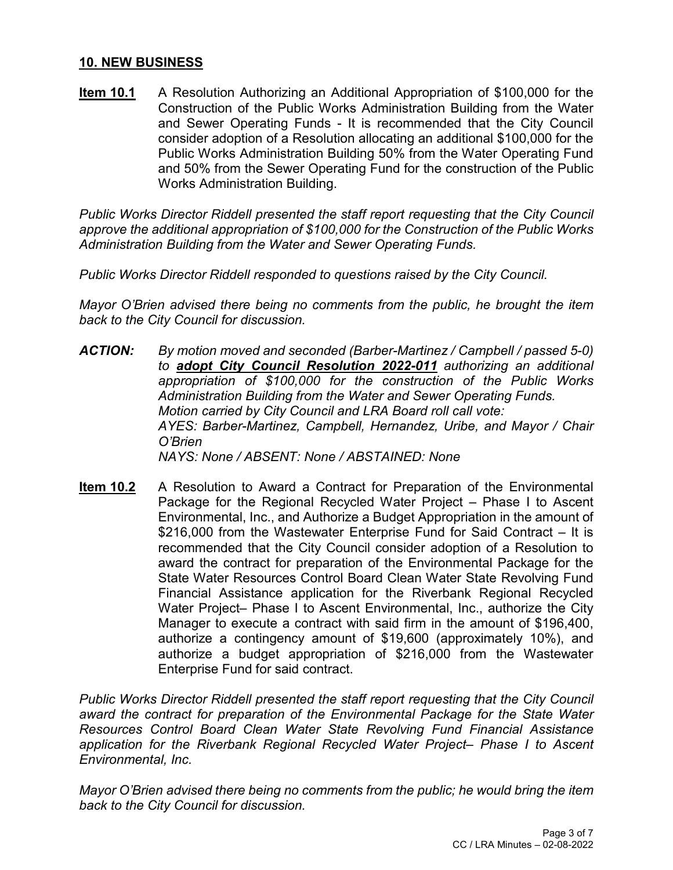#### **10. NEW BUSINESS**

**Item 10.1** A Resolution Authorizing an Additional Appropriation of \$100,000 for the Construction of the Public Works Administration Building from the Water and Sewer Operating Funds - It is recommended that the City Council consider adoption of a Resolution allocating an additional \$100,000 for the Public Works Administration Building 50% from the Water Operating Fund and 50% from the Sewer Operating Fund for the construction of the Public Works Administration Building.

*Public Works Director Riddell presented the staff report requesting that the City Council approve the additional appropriation of \$100,000 for the Construction of the Public Works Administration Building from the Water and Sewer Operating Funds.*

*Public Works Director Riddell responded to questions raised by the City Council.*

*Mayor O'Brien advised there being no comments from the public, he brought the item back to the City Council for discussion.*

- *ACTION: By motion moved and seconded (Barber-Martinez / Campbell / passed 5-0) to adopt City Council Resolution 2022-011 authorizing an additional appropriation of \$100,000 for the construction of the Public Works Administration Building from the Water and Sewer Operating Funds. Motion carried by City Council and LRA Board roll call vote: AYES: Barber-Martinez, Campbell, Hernandez, Uribe, and Mayor / Chair O'Brien NAYS: None / ABSENT: None / ABSTAINED: None*
- **Item 10.2** A Resolution to Award a Contract for Preparation of the Environmental Package for the Regional Recycled Water Project – Phase I to Ascent Environmental, Inc., and Authorize a Budget Appropriation in the amount of \$216,000 from the Wastewater Enterprise Fund for Said Contract – It is recommended that the City Council consider adoption of a Resolution to award the contract for preparation of the Environmental Package for the State Water Resources Control Board Clean Water State Revolving Fund Financial Assistance application for the Riverbank Regional Recycled Water Project– Phase I to Ascent Environmental, Inc., authorize the City Manager to execute a contract with said firm in the amount of \$196,400, authorize a contingency amount of \$19,600 (approximately 10%), and authorize a budget appropriation of \$216,000 from the Wastewater Enterprise Fund for said contract.

*Public Works Director Riddell presented the staff report requesting that the City Council*  award the contract for preparation of the Environmental Package for the State Water *Resources Control Board Clean Water State Revolving Fund Financial Assistance application for the Riverbank Regional Recycled Water Project– Phase I to Ascent Environmental, Inc.* 

*Mayor O'Brien advised there being no comments from the public; he would bring the item back to the City Council for discussion.*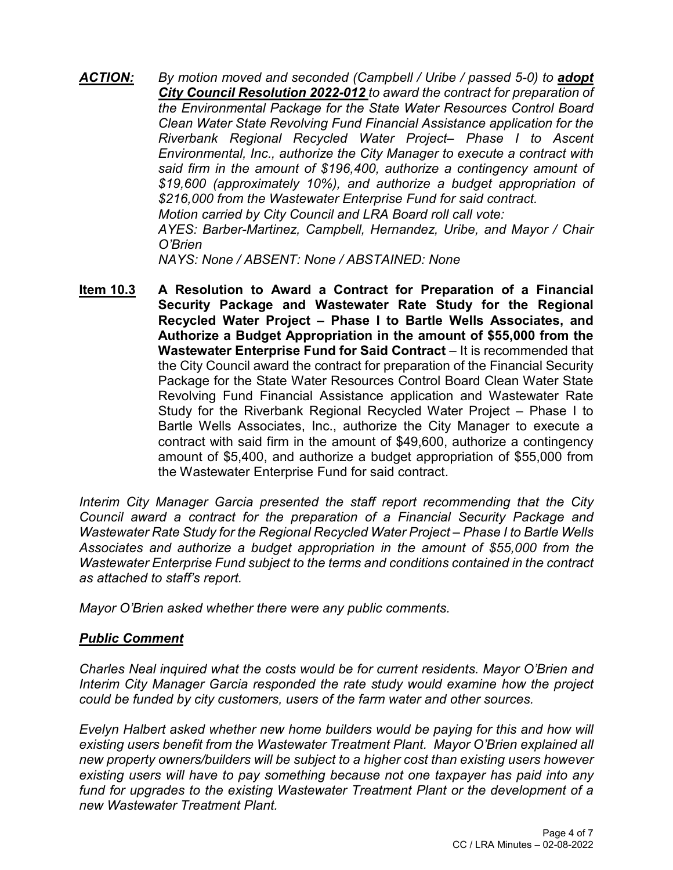- ACTION: *By motion moved and seconded (Campbell / Uribe / passed 5-0) to adopt City Council Resolution 2022-012 to award the contract for preparation of the Environmental Package for the State Water Resources Control Board Clean Water State Revolving Fund Financial Assistance application for the Riverbank Regional Recycled Water Project– Phase I to Ascent Environmental, Inc., authorize the City Manager to execute a contract with said firm in the amount of \$196,400, authorize a contingency amount of \$19,600 (approximately 10%), and authorize a budget appropriation of \$216,000 from the Wastewater Enterprise Fund for said contract. Motion carried by City Council and LRA Board roll call vote: AYES: Barber-Martinez, Campbell, Hernandez, Uribe, and Mayor / Chair O'Brien NAYS: None / ABSENT: None / ABSTAINED: None*
- **Item 10.3 A Resolution to Award a Contract for Preparation of a Financial Security Package and Wastewater Rate Study for the Regional Recycled Water Project – Phase I to Bartle Wells Associates, and Authorize a Budget Appropriation in the amount of \$55,000 from the Wastewater Enterprise Fund for Said Contract** – It is recommended that the City Council award the contract for preparation of the Financial Security Package for the State Water Resources Control Board Clean Water State Revolving Fund Financial Assistance application and Wastewater Rate Study for the Riverbank Regional Recycled Water Project – Phase I to Bartle Wells Associates, Inc., authorize the City Manager to execute a contract with said firm in the amount of \$49,600, authorize a contingency amount of \$5,400, and authorize a budget appropriation of \$55,000 from the Wastewater Enterprise Fund for said contract.

*Interim City Manager Garcia presented the staff report recommending that the City Council award a contract for the preparation of a Financial Security Package and Wastewater Rate Study for the Regional Recycled Water Project – Phase I to Bartle Wells Associates and authorize a budget appropriation in the amount of \$55,000 from the Wastewater Enterprise Fund subject to the terms and conditions contained in the contract as attached to staff's report.*

*Mayor O'Brien asked whether there were any public comments.*

#### *Public Comment*

*Charles Neal inquired what the costs would be for current residents. Mayor O'Brien and Interim City Manager Garcia responded the rate study would examine how the project could be funded by city customers, users of the farm water and other sources.*

*Evelyn Halbert asked whether new home builders would be paying for this and how will existing users benefit from the Wastewater Treatment Plant. Mayor O'Brien explained all new property owners/builders will be subject to a higher cost than existing users however existing users will have to pay something because not one taxpayer has paid into any fund for upgrades to the existing Wastewater Treatment Plant or the development of a new Wastewater Treatment Plant.*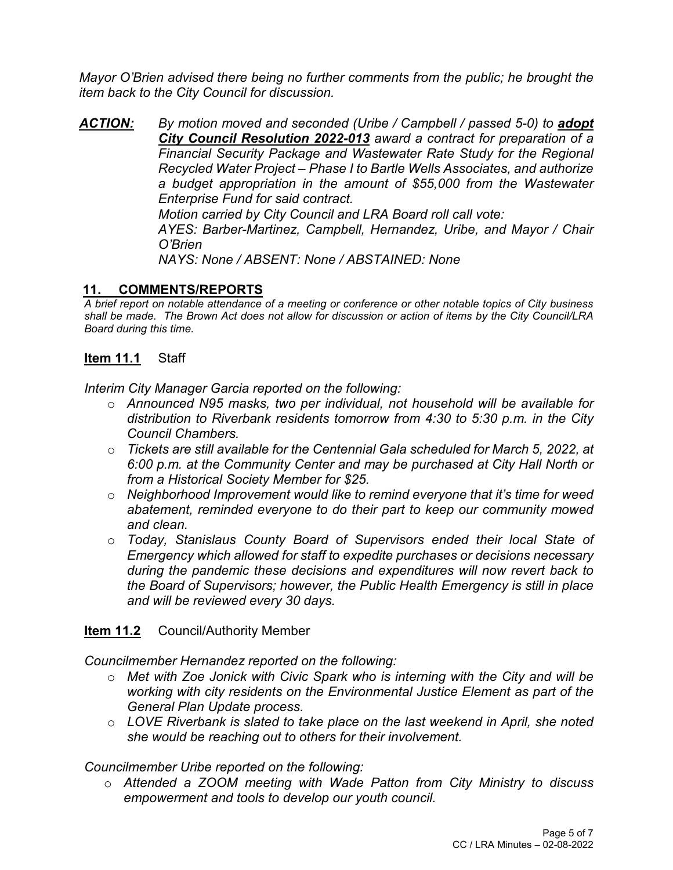*Mayor O'Brien advised there being no further comments from the public; he brought the item back to the City Council for discussion.*

ACTION: *By motion moved and seconded (Uribe / Campbell / passed 5-0) to adopt City Council Resolution 2022-013 award a contract for preparation of a Financial Security Package and Wastewater Rate Study for the Regional Recycled Water Project – Phase I to Bartle Wells Associates, and authorize a budget appropriation in the amount of \$55,000 from the Wastewater Enterprise Fund for said contract. Motion carried by City Council and LRA Board roll call vote:*

*AYES: Barber-Martinez, Campbell, Hernandez, Uribe, and Mayor / Chair O'Brien*

*NAYS: None / ABSENT: None / ABSTAINED: None*

#### **11. COMMENTS/REPORTS**

*A brief report on notable attendance of a meeting or conference or other notable topics of City business shall be made. The Brown Act does not allow for discussion or action of items by the City Council/LRA Board during this time.* 

#### **Item 11.1** Staff

*Interim City Manager Garcia reported on the following:*

- o *Announced N95 masks, two per individual, not household will be available for distribution to Riverbank residents tomorrow from 4:30 to 5:30 p.m. in the City Council Chambers.*
- o *Tickets are still available for the Centennial Gala scheduled for March 5, 2022, at 6:00 p.m. at the Community Center and may be purchased at City Hall North or from a Historical Society Member for \$25.*
- o *Neighborhood Improvement would like to remind everyone that it's time for weed abatement, reminded everyone to do their part to keep our community mowed and clean.*
- o *Today, Stanislaus County Board of Supervisors ended their local State of Emergency which allowed for staff to expedite purchases or decisions necessary during the pandemic these decisions and expenditures will now revert back to the Board of Supervisors; however, the Public Health Emergency is still in place and will be reviewed every 30 days.*

#### **Item 11.2** Council/Authority Member

*Councilmember Hernandez reported on the following:*

- o *Met with Zoe Jonick with Civic Spark who is interning with the City and will be working with city residents on the Environmental Justice Element as part of the General Plan Update process.*
- o *LOVE Riverbank is slated to take place on the last weekend in April, she noted she would be reaching out to others for their involvement.*

#### *Councilmember Uribe reported on the following:*

o *Attended a ZOOM meeting with Wade Patton from City Ministry to discuss empowerment and tools to develop our youth council.*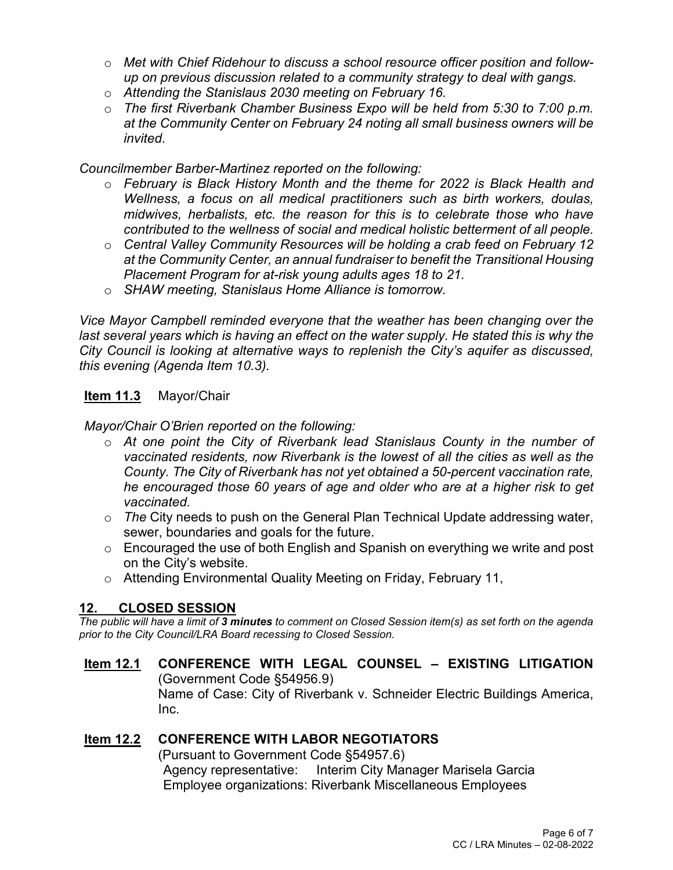- o *Met with Chief Ridehour to discuss a school resource officer position and followup on previous discussion related to a community strategy to deal with gangs.*
- o *Attending the Stanislaus 2030 meeting on February 16.*
- o *The first Riverbank Chamber Business Expo will be held from 5:30 to 7:00 p.m. at the Community Center on February 24 noting all small business owners will be invited.*

*Councilmember Barber-Martinez reported on the following:*

- o *February is Black History Month and the theme for 2022 is Black Health and Wellness, a focus on all medical practitioners such as birth workers, doulas, midwives, herbalists, etc. the reason for this is to celebrate those who have contributed to the wellness of social and medical holistic betterment of all people.*
- o *Central Valley Community Resources will be holding a crab feed on February 12 at the Community Center, an annual fundraiser to benefit the Transitional Housing Placement Program for at-risk young adults ages 18 to 21.*
- o *SHAW meeting, Stanislaus Home Alliance is tomorrow.*

*Vice Mayor Campbell reminded everyone that the weather has been changing over the*  last several years which is having an effect on the water supply. He stated this is why the *City Council is looking at alternative ways to replenish the City's aquifer as discussed, this evening (Agenda Item 10.3).* 

#### **Item 11.3** Mayor/Chair

*Mayor/Chair O'Brien reported on the following:*

- o *At one point the City of Riverbank lead Stanislaus County in the number of vaccinated residents, now Riverbank is the lowest of all the cities as well as the County. The City of Riverbank has not yet obtained a 50-percent vaccination rate, he encouraged those 60 years of age and older who are at a higher risk to get vaccinated.*
- o *The* City needs to push on the General Plan Technical Update addressing water, sewer, boundaries and goals for the future.
- $\circ$  Encouraged the use of both English and Spanish on everything we write and post on the City's website.
- o Attending Environmental Quality Meeting on Friday, February 11,

#### **12. CLOSED SESSION**

*The public will have a limit of 3 minutes to comment on Closed Session item(s) as set forth on the agenda prior to the City Council/LRA Board recessing to Closed Session.* 

**Item 12.1 CONFERENCE WITH LEGAL COUNSEL – EXISTING LITIGATION** (Government Code §54956.9) Name of Case: City of Riverbank v. Schneider Electric Buildings America, Inc.

#### **Item 12.2 CONFERENCE WITH LABOR NEGOTIATORS**

(Pursuant to Government Code §54957.6) Agency representative: Interim City Manager Marisela Garcia Employee organizations: Riverbank Miscellaneous Employees